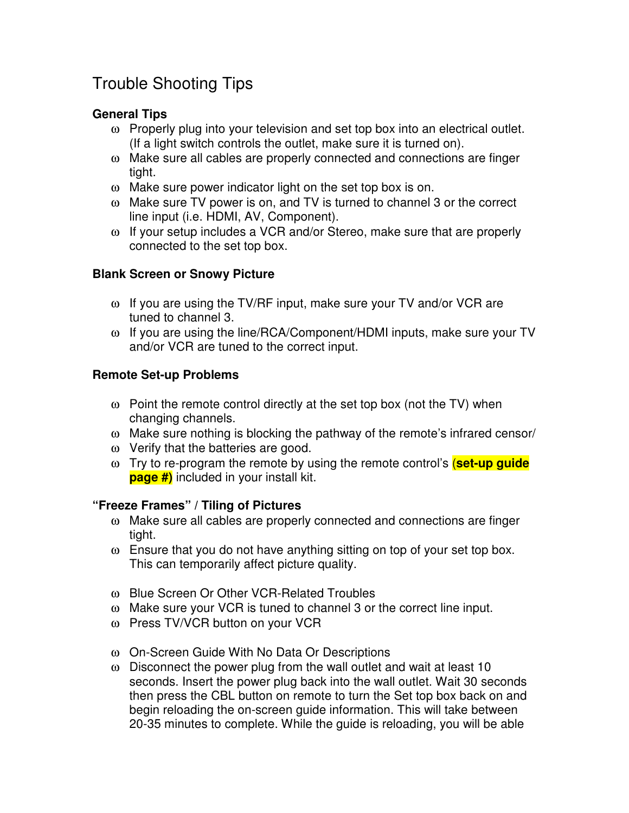# Trouble Shooting Tips

## **General Tips**

- ω Properly plug into your television and set top box into an electrical outlet. (If a light switch controls the outlet, make sure it is turned on).
- ω Make sure all cables are properly connected and connections are finger tight.
- ω Make sure power indicator light on the set top box is on.
- ω Make sure TV power is on, and TV is turned to channel 3 or the correct line input (i.e. HDMI, AV, Component).
- ω If your setup includes a VCR and/or Stereo, make sure that are properly connected to the set top box.

### **Blank Screen or Snowy Picture**

- ω If you are using the TV/RF input, make sure your TV and/or VCR are tuned to channel 3.
- ω If you are using the line/RCA/Component/HDMI inputs, make sure your TV and/or VCR are tuned to the correct input.

### **Remote Set-up Problems**

- $\omega$  Point the remote control directly at the set top box (not the TV) when changing channels.
- ω Make sure nothing is blocking the pathway of the remote's infrared censor/
- ω Verify that the batteries are good.
- ω Try to re-program the remote by using the remote control's (**set-up guide page #)** included in your install kit.

#### **"Freeze Frames" / Tiling of Pictures**

- ω Make sure all cables are properly connected and connections are finger tight.
- ω Ensure that you do not have anything sitting on top of your set top box. This can temporarily affect picture quality.
- ω Blue Screen Or Other VCR-Related Troubles
- ω Make sure your VCR is tuned to channel 3 or the correct line input.
- ω Press TV/VCR button on your VCR
- ω On-Screen Guide With No Data Or Descriptions
- ω Disconnect the power plug from the wall outlet and wait at least 10 seconds. Insert the power plug back into the wall outlet. Wait 30 seconds then press the CBL button on remote to turn the Set top box back on and begin reloading the on-screen guide information. This will take between 20-35 minutes to complete. While the guide is reloading, you will be able